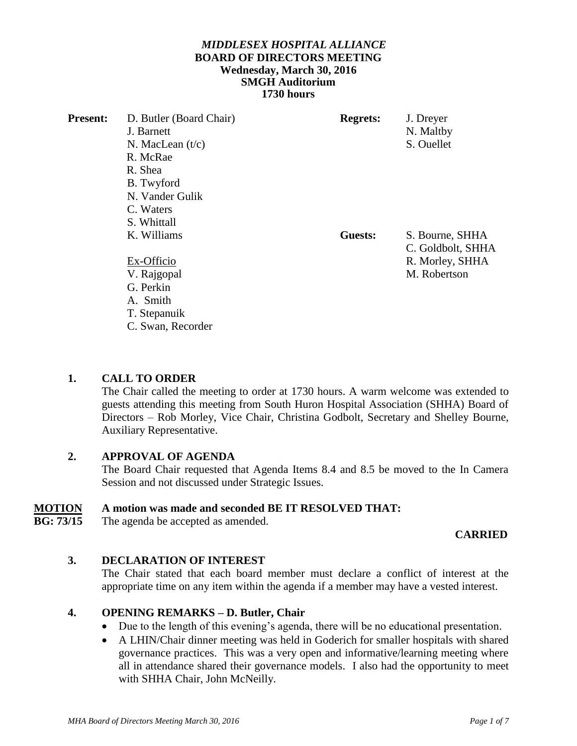### *MIDDLESEX HOSPITAL ALLIANCE*  **BOARD OF DIRECTORS MEETING Wednesday, March 30, 2016 SMGH Auditorium 1730 hours**

| <b>Present:</b> | D. Butler (Board Chair) | <b>Regrets:</b> | J. Dreyer         |
|-----------------|-------------------------|-----------------|-------------------|
|                 | J. Barnett              |                 | N. Maltby         |
|                 | N. MacLean $(t/c)$      |                 | S. Ouellet        |
|                 | R. McRae                |                 |                   |
|                 | R. Shea                 |                 |                   |
|                 | B. Twyford              |                 |                   |
|                 | N. Vander Gulik         |                 |                   |
|                 | C. Waters               |                 |                   |
|                 | S. Whittall             |                 |                   |
|                 | K. Williams             | Guests:         | S. Bourne, SHHA   |
|                 |                         |                 | C. Goldbolt, SHHA |
|                 | Ex-Officio              |                 | R. Morley, SHHA   |
|                 | V. Rajgopal             |                 | M. Robertson      |
|                 | G. Perkin               |                 |                   |
|                 | A. Smith                |                 |                   |
|                 | T. Stepanuik            |                 |                   |
|                 | C. Swan, Recorder       |                 |                   |

### **1. CALL TO ORDER**

The Chair called the meeting to order at 1730 hours. A warm welcome was extended to guests attending this meeting from South Huron Hospital Association (SHHA) Board of Directors – Rob Morley, Vice Chair, Christina Godbolt, Secretary and Shelley Bourne, Auxiliary Representative.

### **2. APPROVAL OF AGENDA**

The Board Chair requested that Agenda Items 8.4 and 8.5 be moved to the In Camera Session and not discussed under Strategic Issues.

### **MOTION A motion was made and seconded BE IT RESOLVED THAT:**

**BG: 73/15** The agenda be accepted as amended.

#### **CARRIED**

### **3. DECLARATION OF INTEREST**

The Chair stated that each board member must declare a conflict of interest at the appropriate time on any item within the agenda if a member may have a vested interest.

### **4. OPENING REMARKS – D. Butler, Chair**

- Due to the length of this evening's agenda, there will be no educational presentation.
- A LHIN/Chair dinner meeting was held in Goderich for smaller hospitals with shared governance practices. This was a very open and informative/learning meeting where all in attendance shared their governance models. I also had the opportunity to meet with SHHA Chair, John McNeilly.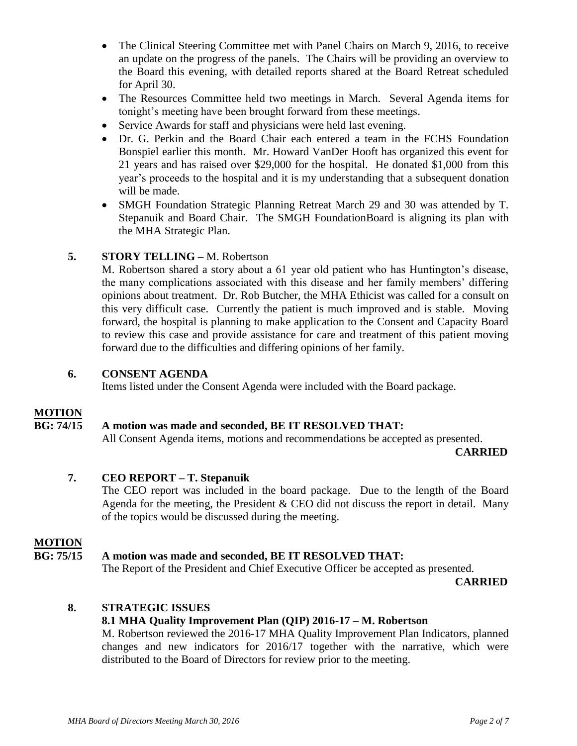- The Clinical Steering Committee met with Panel Chairs on March 9, 2016, to receive an update on the progress of the panels. The Chairs will be providing an overview to the Board this evening, with detailed reports shared at the Board Retreat scheduled for April 30.
- The Resources Committee held two meetings in March. Several Agenda items for tonight's meeting have been brought forward from these meetings.
- Service Awards for staff and physicians were held last evening.
- Dr. G. Perkin and the Board Chair each entered a team in the FCHS Foundation Bonspiel earlier this month. Mr. Howard VanDer Hooft has organized this event for 21 years and has raised over \$29,000 for the hospital. He donated \$1,000 from this year's proceeds to the hospital and it is my understanding that a subsequent donation will be made.
- SMGH Foundation Strategic Planning Retreat March 29 and 30 was attended by T. Stepanuik and Board Chair. The SMGH FoundationBoard is aligning its plan with the MHA Strategic Plan.

## **5. STORY TELLING –** M. Robertson

M. Robertson shared a story about a 61 year old patient who has Huntington's disease, the many complications associated with this disease and her family members' differing opinions about treatment. Dr. Rob Butcher, the MHA Ethicist was called for a consult on this very difficult case. Currently the patient is much improved and is stable. Moving forward, the hospital is planning to make application to the Consent and Capacity Board to review this case and provide assistance for care and treatment of this patient moving forward due to the difficulties and differing opinions of her family.

### **6. CONSENT AGENDA**

Items listed under the Consent Agenda were included with the Board package.

### **MOTION**

## **BG: 74/15 A motion was made and seconded, BE IT RESOLVED THAT:**

All Consent Agenda items, motions and recommendations be accepted as presented.

 **CARRIED**

### **7. CEO REPORT – T. Stepanuik**

The CEO report was included in the board package. Due to the length of the Board Agenda for the meeting, the President  $&$  CEO did not discuss the report in detail. Many of the topics would be discussed during the meeting.

#### **MOTION**

### **BG: 75/15 A motion was made and seconded, BE IT RESOLVED THAT:**

The Report of the President and Chief Executive Officer be accepted as presented.

 **CARRIED**

### **8. STRATEGIC ISSUES**

### **8.1 MHA Quality Improvement Plan (QIP) 2016-17 – M. Robertson**

M. Robertson reviewed the 2016-17 MHA Quality Improvement Plan Indicators, planned changes and new indicators for 2016/17 together with the narrative, which were distributed to the Board of Directors for review prior to the meeting.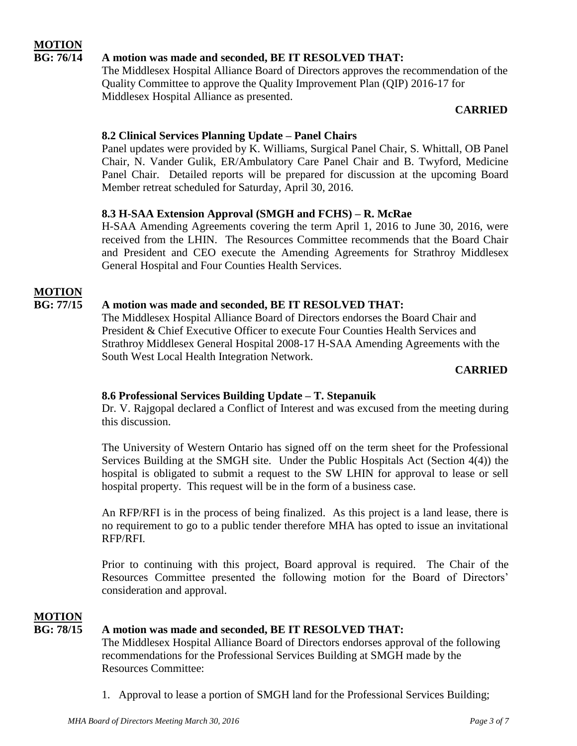## **BG: 76/14 A motion was made and seconded, BE IT RESOLVED THAT:**

The Middlesex Hospital Alliance Board of Directors approves the recommendation of the Quality Committee to approve the Quality Improvement Plan (QIP) 2016-17 for Middlesex Hospital Alliance as presented.

#### **CARRIED**

### **8.2 Clinical Services Planning Update – Panel Chairs**

Panel updates were provided by K. Williams, Surgical Panel Chair, S. Whittall, OB Panel Chair, N. Vander Gulik, ER/Ambulatory Care Panel Chair and B. Twyford, Medicine Panel Chair. Detailed reports will be prepared for discussion at the upcoming Board Member retreat scheduled for Saturday, April 30, 2016.

#### **8.3 H-SAA Extension Approval (SMGH and FCHS) – R. McRae**

H-SAA Amending Agreements covering the term April 1, 2016 to June 30, 2016, were received from the LHIN. The Resources Committee recommends that the Board Chair and President and CEO execute the Amending Agreements for Strathroy Middlesex General Hospital and Four Counties Health Services.

### **MOTION**

### **BG: 77/15 A motion was made and seconded, BE IT RESOLVED THAT:**

The Middlesex Hospital Alliance Board of Directors endorses the Board Chair and President & Chief Executive Officer to execute Four Counties Health Services and Strathroy Middlesex General Hospital 2008-17 H-SAA Amending Agreements with the South West Local Health Integration Network.

#### **CARRIED**

### **8.6 Professional Services Building Update – T. Stepanuik**

Dr. V. Rajgopal declared a Conflict of Interest and was excused from the meeting during this discussion.

The University of Western Ontario has signed off on the term sheet for the Professional Services Building at the SMGH site. Under the Public Hospitals Act (Section 4(4)) the hospital is obligated to submit a request to the SW LHIN for approval to lease or sell hospital property. This request will be in the form of a business case.

An RFP/RFI is in the process of being finalized. As this project is a land lease, there is no requirement to go to a public tender therefore MHA has opted to issue an invitational RFP/RFI.

Prior to continuing with this project, Board approval is required. The Chair of the Resources Committee presented the following motion for the Board of Directors' consideration and approval.

### **MOTION**

### **BG: 78/15 A motion was made and seconded, BE IT RESOLVED THAT:**

The Middlesex Hospital Alliance Board of Directors endorses approval of the following recommendations for the Professional Services Building at SMGH made by the Resources Committee:

1. Approval to lease a portion of SMGH land for the Professional Services Building;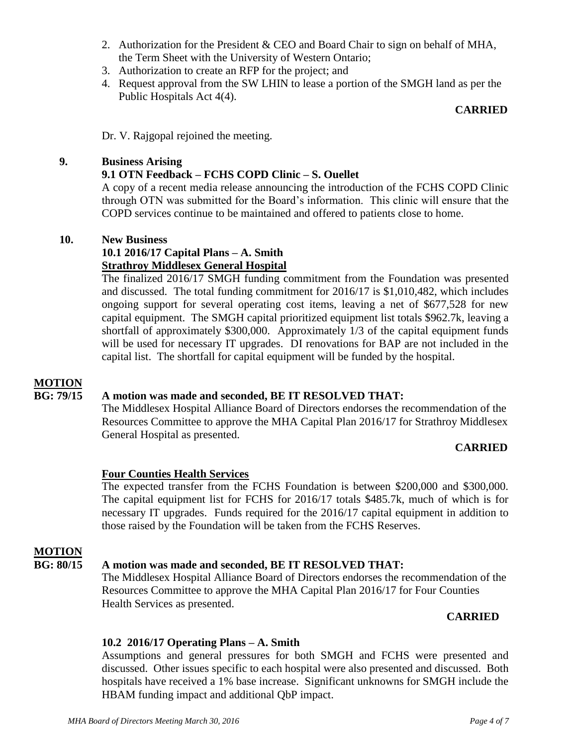- 2. Authorization for the President & CEO and Board Chair to sign on behalf of MHA, the Term Sheet with the University of Western Ontario;
- 3. Authorization to create an RFP for the project; and
- 4. Request approval from the SW LHIN to lease a portion of the SMGH land as per the Public Hospitals Act 4(4).

#### **CARRIED**

Dr. V. Rajgopal rejoined the meeting.

### **9. Business Arising**

### **9.1 OTN Feedback – FCHS COPD Clinic – S. Ouellet**

A copy of a recent media release announcing the introduction of the FCHS COPD Clinic through OTN was submitted for the Board's information. This clinic will ensure that the COPD services continue to be maintained and offered to patients close to home.

#### **10. New Business**

# **10.1 2016/17 Capital Plans – A. Smith**

# **Strathroy Middlesex General Hospital**

The finalized 2016/17 SMGH funding commitment from the Foundation was presented and discussed. The total funding commitment for 2016/17 is \$1,010,482, which includes ongoing support for several operating cost items, leaving a net of \$677,528 for new capital equipment. The SMGH capital prioritized equipment list totals \$962.7k, leaving a shortfall of approximately \$300,000. Approximately 1/3 of the capital equipment funds will be used for necessary IT upgrades. DI renovations for BAP are not included in the capital list. The shortfall for capital equipment will be funded by the hospital.

### **MOTION**

# **BG: 79/15 A motion was made and seconded, BE IT RESOLVED THAT:**

The Middlesex Hospital Alliance Board of Directors endorses the recommendation of the Resources Committee to approve the MHA Capital Plan 2016/17 for Strathroy Middlesex General Hospital as presented.

### **CARRIED**

### **Four Counties Health Services**

The expected transfer from the FCHS Foundation is between \$200,000 and \$300,000. The capital equipment list for FCHS for 2016/17 totals \$485.7k, much of which is for necessary IT upgrades. Funds required for the 2016/17 capital equipment in addition to those raised by the Foundation will be taken from the FCHS Reserves.

## **MOTION**

## **BG: 80/15 A motion was made and seconded, BE IT RESOLVED THAT:**

The Middlesex Hospital Alliance Board of Directors endorses the recommendation of the Resources Committee to approve the MHA Capital Plan 2016/17 for Four Counties Health Services as presented.

## **CARRIED**

## **10.2 2016/17 Operating Plans – A. Smith**

Assumptions and general pressures for both SMGH and FCHS were presented and discussed. Other issues specific to each hospital were also presented and discussed. Both hospitals have received a 1% base increase. Significant unknowns for SMGH include the HBAM funding impact and additional QbP impact.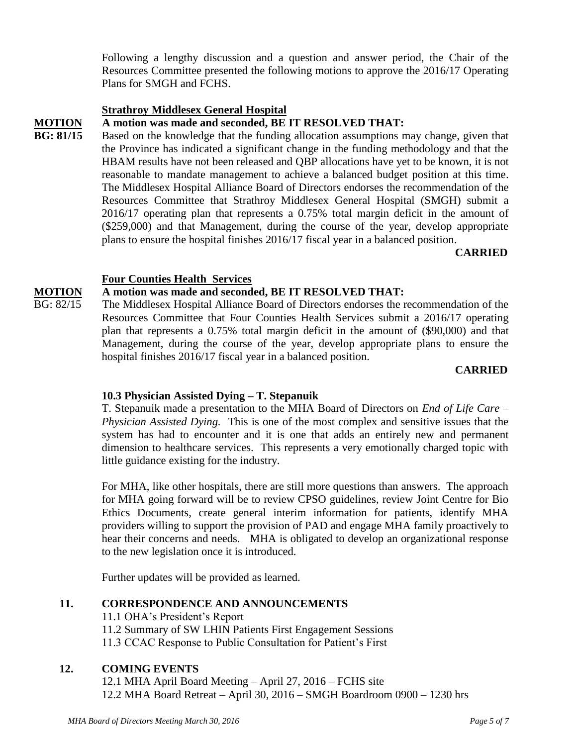Following a lengthy discussion and a question and answer period, the Chair of the Resources Committee presented the following motions to approve the 2016/17 Operating Plans for SMGH and FCHS.

#### **Strathroy Middlesex General Hospital**

## **MOTION A motion was made and seconded, BE IT RESOLVED THAT:**

**BG: 81/15** Based on the knowledge that the funding allocation assumptions may change, given that the Province has indicated a significant change in the funding methodology and that the HBAM results have not been released and QBP allocations have yet to be known, it is not reasonable to mandate management to achieve a balanced budget position at this time. The Middlesex Hospital Alliance Board of Directors endorses the recommendation of the Resources Committee that Strathroy Middlesex General Hospital (SMGH) submit a 2016/17 operating plan that represents a 0.75% total margin deficit in the amount of (\$259,000) and that Management, during the course of the year, develop appropriate plans to ensure the hospital finishes 2016/17 fiscal year in a balanced position.

#### **CARRIED**

#### **Four Counties Health Services**

#### **MOTION A motion was made and seconded, BE IT RESOLVED THAT:**

BG: 82/15 The Middlesex Hospital Alliance Board of Directors endorses the recommendation of the Resources Committee that Four Counties Health Services submit a 2016/17 operating plan that represents a 0.75% total margin deficit in the amount of (\$90,000) and that Management, during the course of the year, develop appropriate plans to ensure the hospital finishes 2016/17 fiscal year in a balanced position.

#### **CARRIED**

#### **10.3 Physician Assisted Dying – T. Stepanuik**

T. Stepanuik made a presentation to the MHA Board of Directors on *End of Life Care – Physician Assisted Dying.* This is one of the most complex and sensitive issues that the system has had to encounter and it is one that adds an entirely new and permanent dimension to healthcare services. This represents a very emotionally charged topic with little guidance existing for the industry.

For MHA, like other hospitals, there are still more questions than answers. The approach for MHA going forward will be to review CPSO guidelines, review Joint Centre for Bio Ethics Documents, create general interim information for patients, identify MHA providers willing to support the provision of PAD and engage MHA family proactively to hear their concerns and needs. MHA is obligated to develop an organizational response to the new legislation once it is introduced.

Further updates will be provided as learned.

- **11. CORRESPONDENCE AND ANNOUNCEMENTS**
	- 11.1 OHA's President's Report 11.2 Summary of SW LHIN Patients First Engagement Sessions 11.3 CCAC Response to Public Consultation for Patient's First

### **12. COMING EVENTS**

12.1 MHA April Board Meeting – April 27, 2016 – FCHS site 12.2 MHA Board Retreat – April 30, 2016 – SMGH Boardroom 0900 – 1230 hrs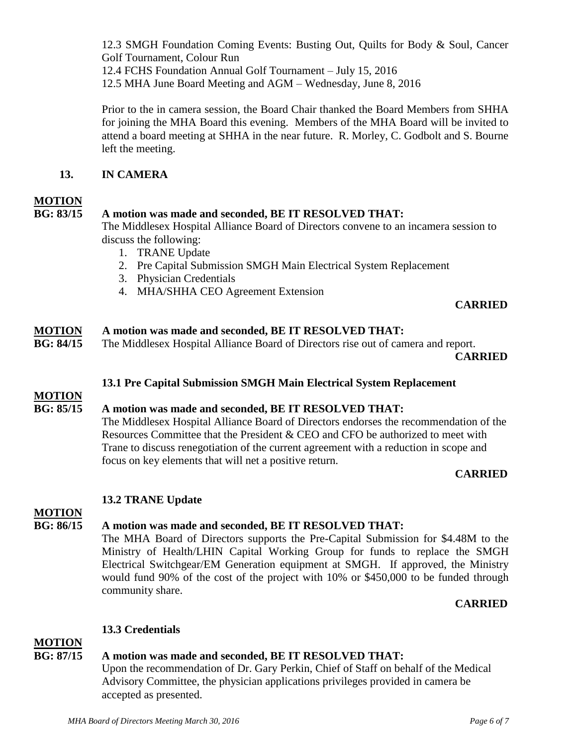12.3 SMGH Foundation Coming Events: Busting Out, Quilts for Body & Soul, Cancer Golf Tournament, Colour Run

12.4 FCHS Foundation Annual Golf Tournament – July 15, 2016

12.5 MHA June Board Meeting and AGM – Wednesday, June 8, 2016

Prior to the in camera session, the Board Chair thanked the Board Members from SHHA for joining the MHA Board this evening. Members of the MHA Board will be invited to attend a board meeting at SHHA in the near future. R. Morley, C. Godbolt and S. Bourne left the meeting.

### **13. IN CAMERA**

# **MOTION**

# **BG: 83/15 A motion was made and seconded, BE IT RESOLVED THAT:**

The Middlesex Hospital Alliance Board of Directors convene to an incamera session to discuss the following:

- 1. TRANE Update
- 2. Pre Capital Submission SMGH Main Electrical System Replacement
- 3. Physician Credentials
- 4. MHA/SHHA CEO Agreement Extension

### **CARRIED**

### **MOTION A motion was made and seconded, BE IT RESOLVED THAT:**

**BG: 84/15** The Middlesex Hospital Alliance Board of Directors rise out of camera and report.

#### **CARRIED**

### **13.1 Pre Capital Submission SMGH Main Electrical System Replacement**

# **MOTION**

### **BG: 85/15 A motion was made and seconded, BE IT RESOLVED THAT:**

The Middlesex Hospital Alliance Board of Directors endorses the recommendation of the Resources Committee that the President & CEO and CFO be authorized to meet with Trane to discuss renegotiation of the current agreement with a reduction in scope and focus on key elements that will net a positive return.

### **CARRIED**

## **13.2 TRANE Update**

**MOTION** 

## **BG: 86/15 A motion was made and seconded, BE IT RESOLVED THAT:**

The MHA Board of Directors supports the Pre-Capital Submission for \$4.48M to the Ministry of Health/LHIN Capital Working Group for funds to replace the SMGH Electrical Switchgear/EM Generation equipment at SMGH. If approved, the Ministry would fund 90% of the cost of the project with 10% or \$450,000 to be funded through community share.

### **CARRIED**

## **13.3 Credentials**

### **MOTION**<br>**BG: 87/15 BG: 87/15 A motion was made and seconded, BE IT RESOLVED THAT:**

Upon the recommendation of Dr. Gary Perkin, Chief of Staff on behalf of the Medical Advisory Committee, the physician applications privileges provided in camera be accepted as presented.